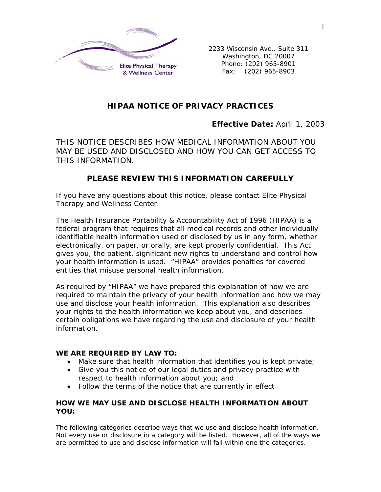

2233 Wisconsin Ave,. Suite 311 Washington, DC 20007 Phone: (202) 965-8901 Fax: (202) 965-8903

# *HIPAA NOTICE OF PRIVACY PRACTICES*

## *Effective Date: April 1, 2003*

*THIS NOTICE DESCRIBES HOW MEDICAL INFORMATION ABOUT YOU MAY BE USED AND DISCLOSED AND HOW YOU CAN GET ACCESS TO THIS INFORMATION.* 

# *PLEASE REVIEW THIS INFORMATION CAREFULLY*

*If you have any questions about this notice, please contact Elite Physical Therapy and Wellness Center.* 

The Health Insurance Portability & Accountability Act of 1996 (HIPAA) is a federal program that requires that all medical records and other individually identifiable health information used or disclosed by us in any form, whether electronically, on paper, or orally, are kept properly confidential. This Act gives you, the patient, significant new rights to understand and control how your health information is used. "HIPAA" provides penalties for covered entities that misuse personal health information.

As required by "HIPAA" we have prepared this explanation of how we are required to maintain the privacy of your health information and how we may use and disclose your health information. This explanation also describes your rights to the health information we keep about you, and describes certain obligations we have regarding the use and disclosure of your health information.

### *WE ARE REQUIRED BY LAW TO:*

- Make sure that health information that identifies you is kept private;
- Give you this notice of our legal duties and privacy practice with respect to health information about you; and
- Follow the terms of the notice that are currently in effect

## *HOW WE MAY USE AND DISCLOSE HEALTH INFORMATION ABOUT YOU:*

The following categories describe ways that we use and disclose health information. Not every use or disclosure in a category will be listed. However, all of the ways we are permitted to use and disclose information will fall within one the categories.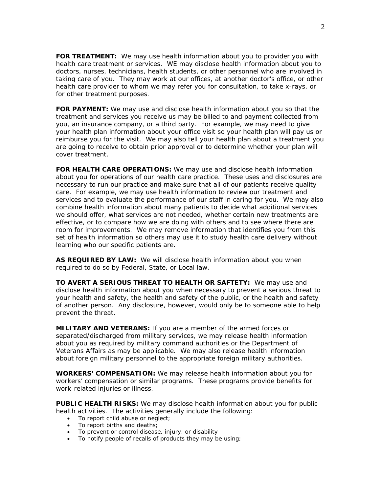*FOR TREATMENT:* We may use health information about you to provider you with health care treatment or services. WE may disclose health information about you to doctors, nurses, technicians, health students, or other personnel who are involved in taking care of you. They may work at our offices, at another doctor's office, or other health care provider to whom we may refer you for consultation, to take x-rays, or for other treatment purposes.

*FOR PAYMENT:* We may use and disclose health information about you so that the treatment and services you receive us may be billed to and payment collected from you, an insurance company, or a third party. For example, we may need to give your health plan information about your office visit so your health plan will pay us or reimburse you for the visit. We may also tell your health plan about a treatment you are going to receive to obtain prior approval or to determine whether your plan will cover treatment.

*FOR HEALTH CARE OPERATIONS:* We may use and disclose health information about you for operations of our health care practice. These uses and disclosures are necessary to run our practice and make sure that all of our patients receive quality care. For example, we may use health information to review our treatment and services and to evaluate the performance of our staff in caring for you. We may also combine health information about many patients to decide what additional services we should offer, what services are not needed, whether certain new treatments are effective, or to compare how we are doing with others and to see where there are room for improvements. We may remove information that identifies you from this set of health information so others may use it to study health care delivery without learning who our specific patients are.

AS REQUIRED BY LAW: We will disclose health information about you when required to do so by Federal, State, or Local law.

*TO AVERT A SERIOUS THREAT TO HEALTH OR SAFTETY:* We may use and disclose health information about you when necessary to prevent a serious threat to your health and safety, the health and safety of the public, or the health and safety of another person. Any disclosure, however, would only be to someone able to help prevent the threat.

*MILITARY AND VETERANS:* If you are a member of the armed forces or separated/discharged from military services, we may release health information about you as required by military command authorities or the Department of Veterans Affairs as may be applicable. We may also release health information about foreign military personnel to the appropriate foreign military authorities.

*WORKERS' COMPENSATION:* We may release health information about you for workers' compensation or similar programs. These programs provide benefits for work-related injuries or illness.

**PUBLIC HEALTH RISKS:** We may disclose health information about you for public health activities. The activities generally include the following:

- To report child abuse or neglect;
- To report births and deaths;
- To prevent or control disease, injury, or disability
- To notify people of recalls of products they may be using;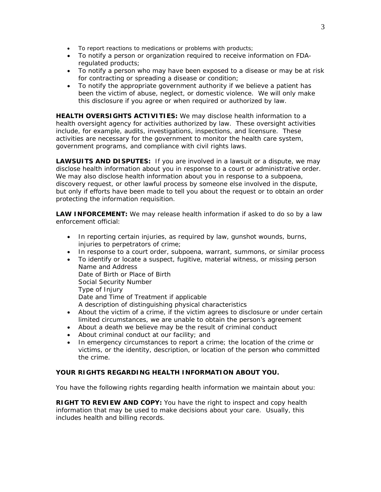- To report reactions to medications or problems with products;
- To notify a person or organization required to receive information on FDAregulated products;
- To notify a person who may have been exposed to a disease or may be at risk for contracting or spreading a disease or condition;
- To notify the appropriate government authority if we believe a patient has been the victim of abuse, neglect, or domestic violence. We will only make this disclosure if you agree or when required or authorized by law.

*HEALTH OVERSIGHTS ACTIVITIES:* We may disclose health information to a health oversight agency for activities authorized by law. These oversight activities include, for example, audits, investigations, inspections, and licensure. These activities are necessary for the government to monitor the health care system, government programs, and compliance with civil rights laws.

*LAWSUITS AND DISPUTES:* If you are involved in a lawsuit or a dispute, we may disclose health information about you in response to a court or administrative order. We may also disclose health information about you in response to a subpoena, discovery request, or other lawful process by someone else involved in the dispute, but only if efforts have been made to tell you about the request or to obtain an order protecting the information requisition.

*LAW INFORCEMENT:* We may release health information if asked to do so by a law enforcement official:

- In reporting certain injuries, as required by law, gunshot wounds, burns, injuries to perpetrators of crime;
- In response to a court order, subpoena, warrant, summons, or similar process
- To identify or locate a suspect, fugitive, material witness, or missing person Name and Address Date of Birth or Place of Birth Social Security Number Type of Injury Date and Time of Treatment if applicable A description of distinguishing physical characteristics • About the victim of a crime, if the victim agrees to disclosure or under certain
- limited circumstances, we are unable to obtain the person's agreement
- About a death we believe may be the result of criminal conduct
- About criminal conduct at our facility; and
- In emergency circumstances to report a crime; the location of the crime or victims, or the identity, description, or location of the person who committed the crime.

### *YOUR RIGHTS REGARDING HEALTH INFORMATION ABOUT YOU.*

You have the following rights regarding health information we maintain about you:

*RIGHT TO REVIEW AND COPY:* You have the right to inspect and copy health information that may be used to make decisions about your care. Usually, this includes health and billing records.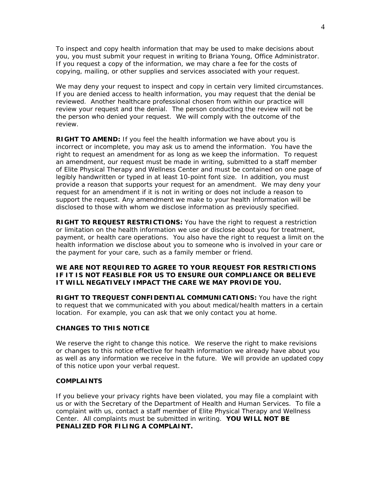To inspect and copy health information that may be used to make decisions about you, you must submit your request in writing to Briana Young, Office Administrator. If you request a copy of the information, we may chare a fee for the costs of copying, mailing, or other supplies and services associated with your request.

We may deny your request to inspect and copy in certain very limited circumstances. If you are denied access to health information, you may request that the denial be reviewed. Another healthcare professional chosen from within our practice will review your request and the denial. The person conducting the review will not be the person who denied your request. We will comply with the outcome of the review.

*RIGHT TO AMEND:* If you feel the health information we have about you is incorrect or incomplete, you may ask us to amend the information. You have the right to request an amendment for as long as we keep the information. To request an amendment, our request must be made in writing, submitted to a staff member of Elite Physical Therapy and Wellness Center and must be contained on one page of legibly handwritten or typed in at least 10-point font size. In addition, you must provide a reason that supports your request for an amendment. We may deny your request for an amendment if it is not in writing or does not include a reason to support the request. Any amendment we make to your health information will be disclosed to those with whom we disclose information as previously specified.

*RIGHT TO REQUEST RESTRICTIONS:* You have the right to request a restriction or limitation on the health information we use or disclose about you for treatment, payment, or health care operations. You also have the right to request a limit on the health information we disclose about you to someone who is involved in your care or the payment for your care, such as a family member or friend.

### *WE ARE NOT REQUIRED TO AGREE TO YOUR REQUEST FOR RESTRICTIONS IF IT IS NOT FEASIBLE FOR US TO ENSURE OUR COMPLIANCE OR BELIEVE IT WILL NEGATIVELY IMPACT THE CARE WE MAY PROVIDE YOU.*

*RIGHT TO TREQUEST CONFIDENTIAL COMMUNICATIONS:* You have the right to request that we communicated with you about medical/health matters in a certain location. For example, you can ask that we only contact you at home.

### *CHANGES TO THIS NOTICE*

We reserve the right to change this notice. We reserve the right to make revisions or changes to this notice effective for health information we already have about you as well as any information we receive in the future. We will provide an updated copy of this notice upon your verbal request.

#### *COMPLAINTS*

If you believe your privacy rights have been violated, you may file a complaint with us or with the Secretary of the Department of Health and Human Services. To file a complaint with us, contact a staff member of Elite Physical Therapy and Wellness Center. All complaints must be submitted in writing. **YOU WILL NOT BE PENALIZED FOR FILING A COMPLAINT.**